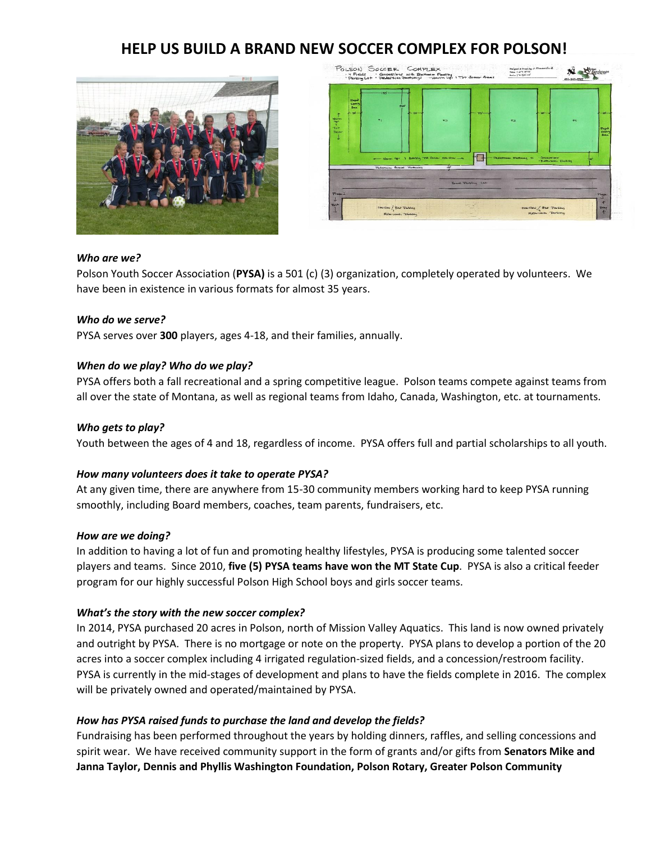# **HELP US BUILD A BRAND NEW SOCCER COMPLEX FOR POLSON!**





#### *Who are we?*

Polson Youth Soccer Association (**PYSA)** is a 501 (c) (3) organization, completely operated by volunteers. We have been in existence in various formats for almost 35 years.

## *Who do we serve?*

PYSA serves over **300** players, ages 4-18, and their families, annually.

## *When do we play? Who do we play?*

PYSA offers both a fall recreational and a spring competitive league. Polson teams compete against teams from all over the state of Montana, as well as regional teams from Idaho, Canada, Washington, etc. at tournaments.

## *Who gets to play?*

Youth between the ages of 4 and 18, regardless of income. PYSA offers full and partial scholarships to all youth.

#### *How many volunteers does it take to operate PYSA?*

At any given time, there are anywhere from 15-30 community members working hard to keep PYSA running smoothly, including Board members, coaches, team parents, fundraisers, etc.

#### *How are we doing?*

In addition to having a lot of fun and promoting healthy lifestyles, PYSA is producing some talented soccer players and teams. Since 2010, **five (5) PYSA teams have won the MT State Cup**. PYSA is also a critical feeder program for our highly successful Polson High School boys and girls soccer teams.

#### *What's the story with the new soccer complex?*

In 2014, PYSA purchased 20 acres in Polson, north of Mission Valley Aquatics. This land is now owned privately and outright by PYSA. There is no mortgage or note on the property. PYSA plans to develop a portion of the 20 acres into a soccer complex including 4 irrigated regulation-sized fields, and a concession/restroom facility. PYSA is currently in the mid-stages of development and plans to have the fields complete in 2016. The complex will be privately owned and operated/maintained by PYSA.

# *How has PYSA raised funds to purchase the land and develop the fields?*

Fundraising has been performed throughout the years by holding dinners, raffles, and selling concessions and spirit wear. We have received community support in the form of grants and/or gifts from **Senators Mike and Janna Taylor, Dennis and Phyllis Washington Foundation, Polson Rotary, Greater Polson Community**